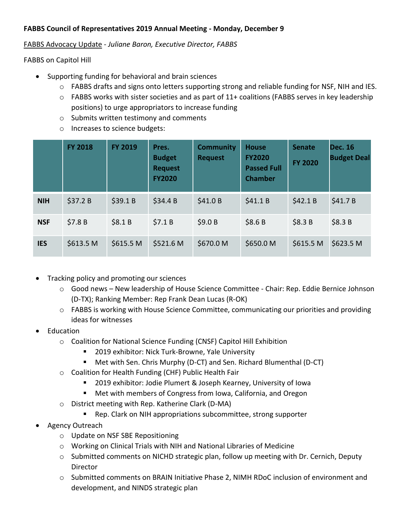## **FABBS Council of Representatives 2019 Annual Meeting - Monday, December 9**

FABBS Advocacy Update - *Juliane Baron, Executive Director, FABBS*

FABBS on Capitol Hill

- Supporting funding for behavioral and brain sciences
	- o FABBS drafts and signs onto letters supporting strong and reliable funding for NSF, NIH and IES.
	- $\circ$  FABBS works with sister societies and as part of 11+ coalitions (FABBS serves in key leadership positions) to urge appropriators to increase funding
	- o Submits written testimony and comments
	- o Increases to science budgets:

|            | <b>FY 2018</b> | <b>FY 2019</b> | Pres.<br><b>Budget</b><br><b>Request</b><br><b>FY2020</b> | <b>Community</b><br><b>Request</b> | <b>House</b><br><b>FY2020</b><br><b>Passed Full</b><br><b>Chamber</b> | <b>Senate</b><br><b>FY 2020</b> | <b>Dec. 16</b><br><b>Budget Deal</b> |
|------------|----------------|----------------|-----------------------------------------------------------|------------------------------------|-----------------------------------------------------------------------|---------------------------------|--------------------------------------|
| <b>NIH</b> | \$37.2 B       | \$39.1B        | \$34.4 B                                                  | \$41.0B                            | \$41.1 B                                                              | \$42.1 B                        | \$41.7 B                             |
| <b>NSF</b> | \$7.8B         | \$8.1B         | \$7.1B                                                    | \$9.0B                             | \$8.6B                                                                | \$8.3B                          | \$8.3B                               |
| <b>IES</b> | \$613.5 M      | \$615.5 M      | \$521.6 M                                                 | \$670.0 M                          | \$650.0 M                                                             | \$615.5 M                       | \$623.5 M                            |

- Tracking policy and promoting our sciences
	- o Good news New leadership of House Science Committee Chair: Rep. Eddie Bernice Johnson (D-TX); Ranking Member: Rep Frank Dean Lucas (R-OK)
	- $\circ$  FABBS is working with House Science Committee, communicating our priorities and providing ideas for witnesses
- Education
	- o Coalition for National Science Funding (CNSF) Capitol Hill Exhibition
		- 2019 exhibitor: Nick Turk-Browne, Yale University
		- Met with Sen. Chris Murphy (D-CT) and Sen. Richard Blumenthal (D-CT)
	- o Coalition for Health Funding (CHF) Public Health Fair
		- 2019 exhibitor: Jodie Plumert & Joseph Kearney, University of Iowa
		- Met with members of Congress from Iowa, California, and Oregon
	- o District meeting with Rep. Katherine Clark (D-MA)
		- Rep. Clark on NIH appropriations subcommittee, strong supporter
- Agency Outreach
	- o Update on NSF SBE Repositioning
	- o Working on Clinical Trials with NIH and National Libraries of Medicine
	- $\circ$  Submitted comments on NICHD strategic plan, follow up meeting with Dr. Cernich, Deputy **Director**
	- o Submitted comments on BRAIN Initiative Phase 2, NIMH RDoC inclusion of environment and development, and NINDS strategic plan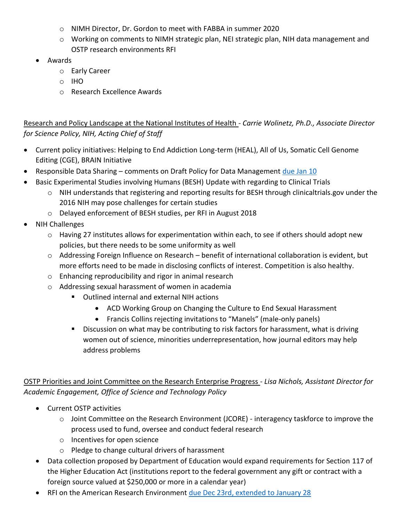- o NIMH Director, Dr. Gordon to meet with FABBA in summer 2020
- o Working on comments to NIMH strategic plan, NEI strategic plan, NIH data management and OSTP research environments RFI
- Awards
	- o Early Career
	- o IHO
	- o Research Excellence Awards

Research and Policy Landscape at the National Institutes of Health - *Carrie Wolinetz, Ph.D., Associate Director for Science Policy, NIH, Acting Chief of Staff*

- Current policy initiatives: Helping to End Addiction Long-term (HEAL), All of Us, Somatic Cell Genome Editing (CGE), BRAIN Initiative
- Responsible Data Sharing comments on Draft Policy for Data Management [due Jan 10](https://osp.od.nih.gov/draft-data-sharing-and-management/)
- Basic Experimental Studies involving Humans (BESH) Update with regarding to Clinical Trials
	- o NIH understands that registering and reporting results for BESH through clinicaltrials.gov under the 2016 NIH may pose challenges for certain studies
	- o Delayed enforcement of BESH studies, per RFI in August 2018
- NIH Challenges
	- o Having 27 institutes allows for experimentation within each, to see if others should adopt new policies, but there needs to be some uniformity as well
	- $\circ$  Addressing Foreign Influence on Research benefit of international collaboration is evident, but more efforts need to be made in disclosing conflicts of interest. Competition is also healthy.
	- o Enhancing reproducibility and rigor in animal research
	- o Addressing sexual harassment of women in academia
		- Outlined internal and external NIH actions
			- ACD Working Group on Changing the Culture to End Sexual Harassment
			- Francis Collins rejecting invitations to "Manels" (male-only panels)
		- **Discussion on what may be contributing to risk factors for harassment, what is driving** women out of science, minorities underrepresentation, how journal editors may help address problems

OSTP Priorities and Joint Committee on the Research Enterprise Progress - *Lisa Nichols, Assistant Director for Academic Engagement, Office of Science and Technology Policy*

- Current OSTP activities
	- $\circ$  Joint Committee on the Research Environment (JCORE) interagency taskforce to improve the process used to fund, oversee and conduct federal research
	- o Incentives for open science
	- o Pledge to change cultural drivers of harassment
- Data collection proposed by Department of Education would expand requirements for Section 117 of the Higher Education Act (institutions report to the federal government any gift or contract with a foreign source valued at \$250,000 or more in a calendar year)
- RFI on the American Research Environment [due Dec 23rd,](https://www.federalregister.gov/documents/2019/11/26/2019-25604/request-for-information-on-the-american-research-environment) extended to January 28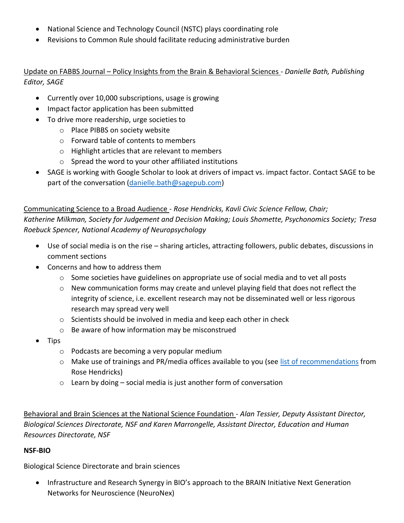- National Science and Technology Council (NSTC) plays coordinating role
- Revisions to Common Rule should facilitate reducing administrative burden

Update on FABBS Journal – Policy Insights from the Brain & Behavioral Sciences - *Danielle Bath, Publishing Editor, SAGE*

- Currently over 10,000 subscriptions, usage is growing
- Impact factor application has been submitted
- To drive more readership, urge societies to
	- o Place PIBBS on society website
	- o Forward table of contents to members
	- o Highlight articles that are relevant to members
	- $\circ$  Spread the word to your other affiliated institutions
- SAGE is working with Google Scholar to look at drivers of impact vs. impact factor. Contact SAGE to be part of the conversation [\(danielle.bath@sagepub.com\)](mailto:danielle.bath@sagepub.com)

Communicating Science to a Broad Audience - *Rose Hendricks, Kavli Civic Science Fellow, Chair; Katherine Milkman, Society for Judgement and Decision Making; Louis Shomette, Psychonomics Society; Tresa Roebuck Spencer, National Academy of Neuropsychology*

- Use of social media is on the rise sharing articles, attracting followers, public debates, discussions in comment sections
- Concerns and how to address them
	- o Some societies have guidelines on appropriate use of social media and to vet all posts
	- o New communication forms may create and unlevel playing field that does not reflect the integrity of science, i.e. excellent research may not be disseminated well or less rigorous research may spread very well
	- o Scientists should be involved in media and keep each other in check
	- o Be aware of how information may be misconstrued
- Tips
	- o Podcasts are becoming a very popular medium
	- o Make use of trainings and PR/media offices available to you (se[e list of recommendations](https://fabbs.org/annual-meeting/2019-materials/) from Rose Hendricks)
	- o Learn by doing social media is just another form of conversation

Behavioral and Brain Sciences at the National Science Foundation - *Alan Tessier, Deputy Assistant Director, Biological Sciences Directorate, NSF and Karen Marrongelle, Assistant Director, Education and Human Resources Directorate, NSF*

## **NSF-BIO**

Biological Science Directorate and brain sciences

• Infrastructure and Research Synergy in BIO's approach to the BRAIN Initiative Next Generation Networks for Neuroscience (NeuroNex)